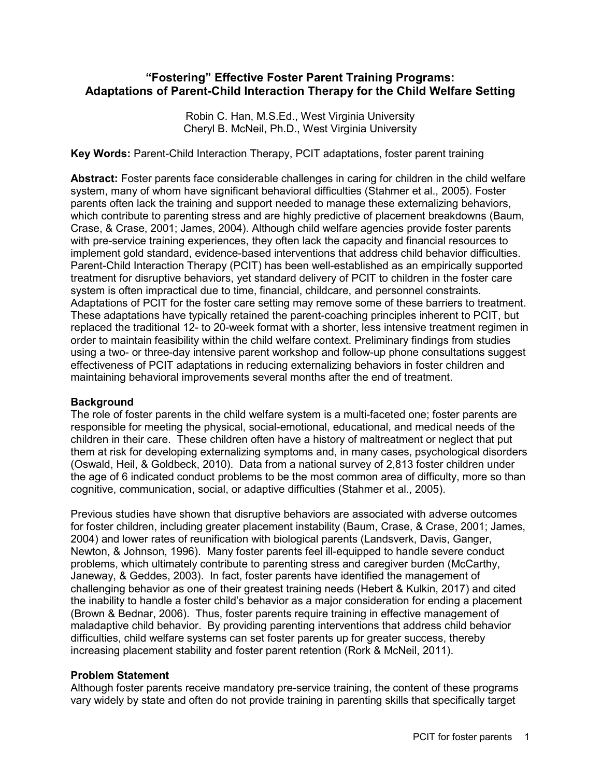# **"Fostering" Effective Foster Parent Training Programs: Adaptations of Parent-Child Interaction Therapy for the Child Welfare Setting**

Robin C. Han, M.S.Ed., West Virginia University Cheryl B. McNeil, Ph.D., West Virginia University

**Key Words:** Parent-Child Interaction Therapy, PCIT adaptations, foster parent training

**Abstract:** Foster parents face considerable challenges in caring for children in the child welfare system, many of whom have significant behavioral difficulties (Stahmer et al., 2005). Foster parents often lack the training and support needed to manage these externalizing behaviors, which contribute to parenting stress and are highly predictive of placement breakdowns (Baum, Crase, & Crase, 2001; James, 2004). Although child welfare agencies provide foster parents with pre-service training experiences, they often lack the capacity and financial resources to implement gold standard, evidence-based interventions that address child behavior difficulties. Parent-Child Interaction Therapy (PCIT) has been well-established as an empirically supported treatment for disruptive behaviors, yet standard delivery of PCIT to children in the foster care system is often impractical due to time, financial, childcare, and personnel constraints. Adaptations of PCIT for the foster care setting may remove some of these barriers to treatment. These adaptations have typically retained the parent-coaching principles inherent to PCIT, but replaced the traditional 12- to 20-week format with a shorter, less intensive treatment regimen in order to maintain feasibility within the child welfare context. Preliminary findings from studies using a two- or three-day intensive parent workshop and follow-up phone consultations suggest effectiveness of PCIT adaptations in reducing externalizing behaviors in foster children and maintaining behavioral improvements several months after the end of treatment.

#### **Background**

The role of foster parents in the child welfare system is a multi-faceted one; foster parents are responsible for meeting the physical, social-emotional, educational, and medical needs of the children in their care. These children often have a history of maltreatment or neglect that put them at risk for developing externalizing symptoms and, in many cases, psychological disorders (Oswald, Heil, & Goldbeck, 2010). Data from a national survey of 2,813 foster children under the age of 6 indicated conduct problems to be the most common area of difficulty, more so than cognitive, communication, social, or adaptive difficulties (Stahmer et al., 2005).

Previous studies have shown that disruptive behaviors are associated with adverse outcomes for foster children, including greater placement instability (Baum, Crase, & Crase, 2001; James, 2004) and lower rates of reunification with biological parents (Landsverk, Davis, Ganger, Newton, & Johnson, 1996). Many foster parents feel ill-equipped to handle severe conduct problems, which ultimately contribute to parenting stress and caregiver burden (McCarthy, Janeway, & Geddes, 2003). In fact, foster parents have identified the management of challenging behavior as one of their greatest training needs (Hebert & Kulkin, 2017) and cited the inability to handle a foster child's behavior as a major consideration for ending a placement (Brown & Bednar, 2006). Thus, foster parents require training in effective management of maladaptive child behavior. By providing parenting interventions that address child behavior difficulties, child welfare systems can set foster parents up for greater success, thereby increasing placement stability and foster parent retention (Rork & McNeil, 2011).

## **Problem Statement**

Although foster parents receive mandatory pre-service training, the content of these programs vary widely by state and often do not provide training in parenting skills that specifically target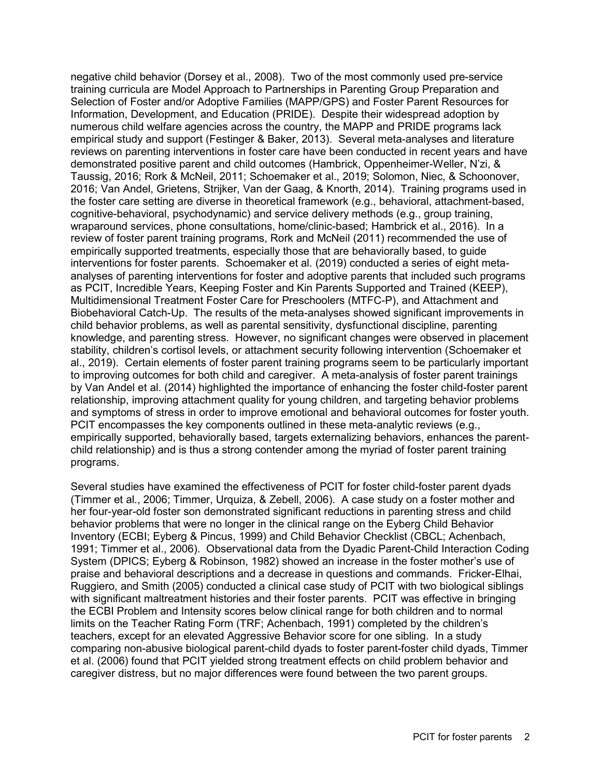negative child behavior (Dorsey et al., 2008). Two of the most commonly used pre-service training curricula are Model Approach to Partnerships in Parenting Group Preparation and Selection of Foster and/or Adoptive Families (MAPP/GPS) and Foster Parent Resources for Information, Development, and Education (PRIDE). Despite their widespread adoption by numerous child welfare agencies across the country, the MAPP and PRIDE programs lack empirical study and support (Festinger & Baker, 2013). Several meta-analyses and literature reviews on parenting interventions in foster care have been conducted in recent years and have demonstrated positive parent and child outcomes (Hambrick, Oppenheimer-Weller, N'zi, & Taussig, 2016; Rork & McNeil, 2011; Schoemaker et al., 2019; Solomon, Niec, & Schoonover, 2016; Van Andel, Grietens, Strijker, Van der Gaag, & Knorth, 2014). Training programs used in the foster care setting are diverse in theoretical framework (e.g., behavioral, attachment-based, cognitive-behavioral, psychodynamic) and service delivery methods (e.g., group training, wraparound services, phone consultations, home/clinic-based; Hambrick et al., 2016). In a review of foster parent training programs, Rork and McNeil (2011) recommended the use of empirically supported treatments, especially those that are behaviorally based, to guide interventions for foster parents. Schoemaker et al. (2019) conducted a series of eight metaanalyses of parenting interventions for foster and adoptive parents that included such programs as PCIT, Incredible Years, Keeping Foster and Kin Parents Supported and Trained (KEEP), Multidimensional Treatment Foster Care for Preschoolers (MTFC-P), and Attachment and Biobehavioral Catch-Up. The results of the meta-analyses showed significant improvements in child behavior problems, as well as parental sensitivity, dysfunctional discipline, parenting knowledge, and parenting stress. However, no significant changes were observed in placement stability, children's cortisol levels, or attachment security following intervention (Schoemaker et al., 2019). Certain elements of foster parent training programs seem to be particularly important to improving outcomes for both child and caregiver. A meta-analysis of foster parent trainings by Van Andel et al. (2014) highlighted the importance of enhancing the foster child-foster parent relationship, improving attachment quality for young children, and targeting behavior problems and symptoms of stress in order to improve emotional and behavioral outcomes for foster youth. PCIT encompasses the key components outlined in these meta-analytic reviews (e.g., empirically supported, behaviorally based, targets externalizing behaviors, enhances the parentchild relationship) and is thus a strong contender among the myriad of foster parent training programs.

Several studies have examined the effectiveness of PCIT for foster child-foster parent dyads (Timmer et al., 2006; Timmer, Urquiza, & Zebell, 2006). A case study on a foster mother and her four-year-old foster son demonstrated significant reductions in parenting stress and child behavior problems that were no longer in the clinical range on the Eyberg Child Behavior Inventory (ECBI; Eyberg & Pincus, 1999) and Child Behavior Checklist (CBCL; Achenbach, 1991; Timmer et al., 2006). Observational data from the Dyadic Parent-Child Interaction Coding System (DPICS; Eyberg & Robinson, 1982) showed an increase in the foster mother's use of praise and behavioral descriptions and a decrease in questions and commands. Fricker-Elhai, Ruggiero, and Smith (2005) conducted a clinical case study of PCIT with two biological siblings with significant maltreatment histories and their foster parents. PCIT was effective in bringing the ECBI Problem and Intensity scores below clinical range for both children and to normal limits on the Teacher Rating Form (TRF; Achenbach, 1991) completed by the children's teachers, except for an elevated Aggressive Behavior score for one sibling. In a study comparing non-abusive biological parent-child dyads to foster parent-foster child dyads, Timmer et al. (2006) found that PCIT yielded strong treatment effects on child problem behavior and caregiver distress, but no major differences were found between the two parent groups.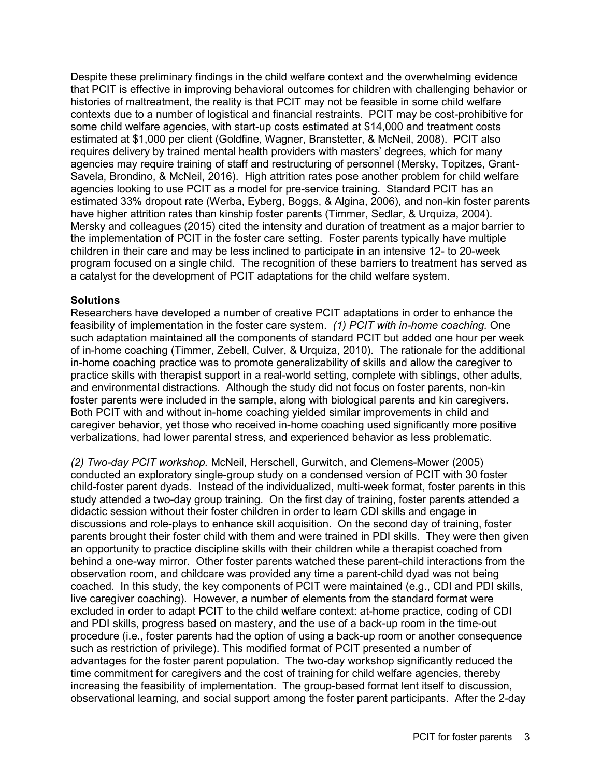Despite these preliminary findings in the child welfare context and the overwhelming evidence that PCIT is effective in improving behavioral outcomes for children with challenging behavior or histories of maltreatment, the reality is that PCIT may not be feasible in some child welfare contexts due to a number of logistical and financial restraints. PCIT may be cost-prohibitive for some child welfare agencies, with start-up costs estimated at \$14,000 and treatment costs estimated at \$1,000 per client (Goldfine, Wagner, Branstetter, & McNeil, 2008). PCIT also requires delivery by trained mental health providers with masters' degrees, which for many agencies may require training of staff and restructuring of personnel (Mersky, Topitzes, Grant-Savela, Brondino, & McNeil, 2016). High attrition rates pose another problem for child welfare agencies looking to use PCIT as a model for pre-service training. Standard PCIT has an estimated 33% dropout rate (Werba, Eyberg, Boggs, & Algina, 2006), and non-kin foster parents have higher attrition rates than kinship foster parents (Timmer, Sedlar, & Urquiza, 2004). Mersky and colleagues (2015) cited the intensity and duration of treatment as a major barrier to the implementation of PCIT in the foster care setting. Foster parents typically have multiple children in their care and may be less inclined to participate in an intensive 12- to 20-week program focused on a single child. The recognition of these barriers to treatment has served as a catalyst for the development of PCIT adaptations for the child welfare system.

### **Solutions**

Researchers have developed a number of creative PCIT adaptations in order to enhance the feasibility of implementation in the foster care system. *(1) PCIT with in-home coaching.* One such adaptation maintained all the components of standard PCIT but added one hour per week of in-home coaching (Timmer, Zebell, Culver, & Urquiza, 2010). The rationale for the additional in-home coaching practice was to promote generalizability of skills and allow the caregiver to practice skills with therapist support in a real-world setting, complete with siblings, other adults, and environmental distractions. Although the study did not focus on foster parents, non-kin foster parents were included in the sample, along with biological parents and kin caregivers. Both PCIT with and without in-home coaching yielded similar improvements in child and caregiver behavior, yet those who received in-home coaching used significantly more positive verbalizations, had lower parental stress, and experienced behavior as less problematic.

*(2) Two-day PCIT workshop.* McNeil, Herschell, Gurwitch, and Clemens-Mower (2005) conducted an exploratory single-group study on a condensed version of PCIT with 30 foster child-foster parent dyads. Instead of the individualized, multi-week format, foster parents in this study attended a two-day group training. On the first day of training, foster parents attended a didactic session without their foster children in order to learn CDI skills and engage in discussions and role-plays to enhance skill acquisition. On the second day of training, foster parents brought their foster child with them and were trained in PDI skills. They were then given an opportunity to practice discipline skills with their children while a therapist coached from behind a one-way mirror. Other foster parents watched these parent-child interactions from the observation room, and childcare was provided any time a parent-child dyad was not being coached. In this study, the key components of PCIT were maintained (e.g., CDI and PDI skills, live caregiver coaching). However, a number of elements from the standard format were excluded in order to adapt PCIT to the child welfare context: at-home practice, coding of CDI and PDI skills, progress based on mastery, and the use of a back-up room in the time-out procedure (i.e., foster parents had the option of using a back-up room or another consequence such as restriction of privilege). This modified format of PCIT presented a number of advantages for the foster parent population. The two-day workshop significantly reduced the time commitment for caregivers and the cost of training for child welfare agencies, thereby increasing the feasibility of implementation. The group-based format lent itself to discussion, observational learning, and social support among the foster parent participants. After the 2-day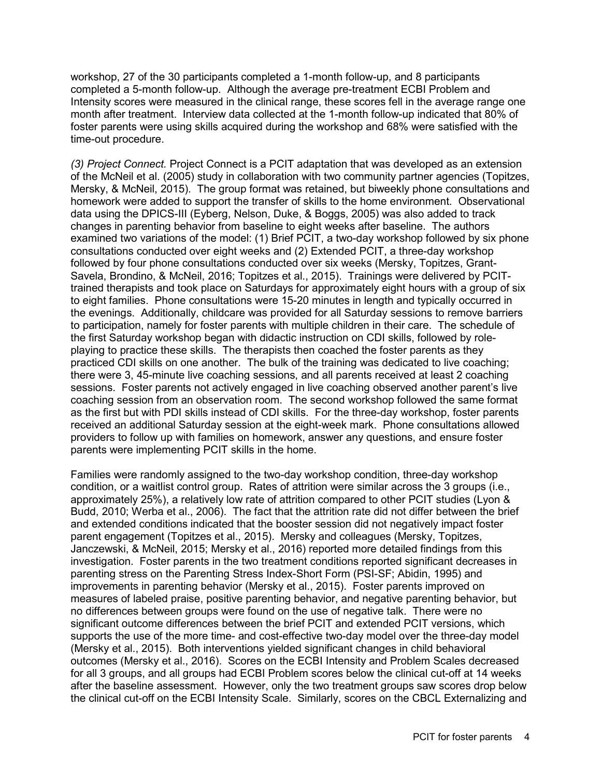workshop, 27 of the 30 participants completed a 1-month follow-up, and 8 participants completed a 5-month follow-up. Although the average pre-treatment ECBI Problem and Intensity scores were measured in the clinical range, these scores fell in the average range one month after treatment. Interview data collected at the 1-month follow-up indicated that 80% of foster parents were using skills acquired during the workshop and 68% were satisfied with the time-out procedure.

*(3) Project Connect.* Project Connect is a PCIT adaptation that was developed as an extension of the McNeil et al. (2005) study in collaboration with two community partner agencies (Topitzes, Mersky, & McNeil, 2015). The group format was retained, but biweekly phone consultations and homework were added to support the transfer of skills to the home environment. Observational data using the DPICS-III (Eyberg, Nelson, Duke, & Boggs, 2005) was also added to track changes in parenting behavior from baseline to eight weeks after baseline. The authors examined two variations of the model: (1) Brief PCIT, a two-day workshop followed by six phone consultations conducted over eight weeks and (2) Extended PCIT, a three-day workshop followed by four phone consultations conducted over six weeks (Mersky, Topitzes, Grant-Savela, Brondino, & McNeil, 2016; Topitzes et al., 2015). Trainings were delivered by PCITtrained therapists and took place on Saturdays for approximately eight hours with a group of six to eight families. Phone consultations were 15-20 minutes in length and typically occurred in the evenings. Additionally, childcare was provided for all Saturday sessions to remove barriers to participation, namely for foster parents with multiple children in their care. The schedule of the first Saturday workshop began with didactic instruction on CDI skills, followed by roleplaying to practice these skills. The therapists then coached the foster parents as they practiced CDI skills on one another. The bulk of the training was dedicated to live coaching; there were 3, 45-minute live coaching sessions, and all parents received at least 2 coaching sessions. Foster parents not actively engaged in live coaching observed another parent's live coaching session from an observation room. The second workshop followed the same format as the first but with PDI skills instead of CDI skills. For the three-day workshop, foster parents received an additional Saturday session at the eight-week mark. Phone consultations allowed providers to follow up with families on homework, answer any questions, and ensure foster parents were implementing PCIT skills in the home.

Families were randomly assigned to the two-day workshop condition, three-day workshop condition, or a waitlist control group. Rates of attrition were similar across the 3 groups (i.e., approximately 25%), a relatively low rate of attrition compared to other PCIT studies (Lyon & Budd, 2010; Werba et al., 2006). The fact that the attrition rate did not differ between the brief and extended conditions indicated that the booster session did not negatively impact foster parent engagement (Topitzes et al., 2015). Mersky and colleagues (Mersky, Topitzes, Janczewski, & McNeil, 2015; Mersky et al., 2016) reported more detailed findings from this investigation. Foster parents in the two treatment conditions reported significant decreases in parenting stress on the Parenting Stress Index-Short Form (PSI-SF; Abidin, 1995) and improvements in parenting behavior (Mersky et al., 2015). Foster parents improved on measures of labeled praise, positive parenting behavior, and negative parenting behavior, but no differences between groups were found on the use of negative talk. There were no significant outcome differences between the brief PCIT and extended PCIT versions, which supports the use of the more time- and cost-effective two-day model over the three-day model (Mersky et al., 2015). Both interventions yielded significant changes in child behavioral outcomes (Mersky et al., 2016). Scores on the ECBI Intensity and Problem Scales decreased for all 3 groups, and all groups had ECBI Problem scores below the clinical cut-off at 14 weeks after the baseline assessment. However, only the two treatment groups saw scores drop below the clinical cut-off on the ECBI Intensity Scale. Similarly, scores on the CBCL Externalizing and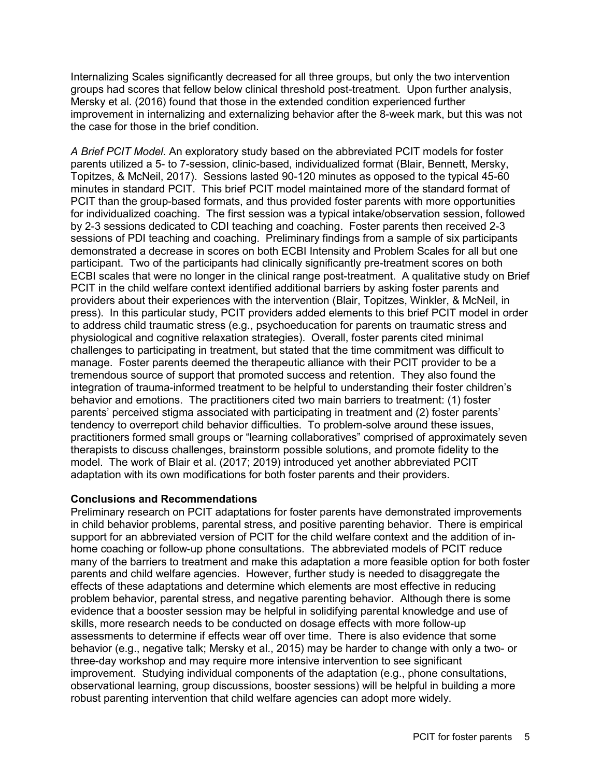Internalizing Scales significantly decreased for all three groups, but only the two intervention groups had scores that fellow below clinical threshold post-treatment. Upon further analysis, Mersky et al. (2016) found that those in the extended condition experienced further improvement in internalizing and externalizing behavior after the 8-week mark, but this was not the case for those in the brief condition.

*A Brief PCIT Model.* An exploratory study based on the abbreviated PCIT models for foster parents utilized a 5- to 7-session, clinic-based, individualized format (Blair, Bennett, Mersky, Topitzes, & McNeil, 2017). Sessions lasted 90-120 minutes as opposed to the typical 45-60 minutes in standard PCIT. This brief PCIT model maintained more of the standard format of PCIT than the group-based formats, and thus provided foster parents with more opportunities for individualized coaching. The first session was a typical intake/observation session, followed by 2-3 sessions dedicated to CDI teaching and coaching. Foster parents then received 2-3 sessions of PDI teaching and coaching. Preliminary findings from a sample of six participants demonstrated a decrease in scores on both ECBI Intensity and Problem Scales for all but one participant. Two of the participants had clinically significantly pre-treatment scores on both ECBI scales that were no longer in the clinical range post-treatment. A qualitative study on Brief PCIT in the child welfare context identified additional barriers by asking foster parents and providers about their experiences with the intervention (Blair, Topitzes, Winkler, & McNeil, in press). In this particular study, PCIT providers added elements to this brief PCIT model in order to address child traumatic stress (e.g., psychoeducation for parents on traumatic stress and physiological and cognitive relaxation strategies). Overall, foster parents cited minimal challenges to participating in treatment, but stated that the time commitment was difficult to manage. Foster parents deemed the therapeutic alliance with their PCIT provider to be a tremendous source of support that promoted success and retention. They also found the integration of trauma-informed treatment to be helpful to understanding their foster children's behavior and emotions. The practitioners cited two main barriers to treatment: (1) foster parents' perceived stigma associated with participating in treatment and (2) foster parents' tendency to overreport child behavior difficulties. To problem-solve around these issues, practitioners formed small groups or "learning collaboratives" comprised of approximately seven therapists to discuss challenges, brainstorm possible solutions, and promote fidelity to the model. The work of Blair et al. (2017; 2019) introduced yet another abbreviated PCIT adaptation with its own modifications for both foster parents and their providers.

## **Conclusions and Recommendations**

Preliminary research on PCIT adaptations for foster parents have demonstrated improvements in child behavior problems, parental stress, and positive parenting behavior. There is empirical support for an abbreviated version of PCIT for the child welfare context and the addition of inhome coaching or follow-up phone consultations. The abbreviated models of PCIT reduce many of the barriers to treatment and make this adaptation a more feasible option for both foster parents and child welfare agencies. However, further study is needed to disaggregate the effects of these adaptations and determine which elements are most effective in reducing problem behavior, parental stress, and negative parenting behavior. Although there is some evidence that a booster session may be helpful in solidifying parental knowledge and use of skills, more research needs to be conducted on dosage effects with more follow-up assessments to determine if effects wear off over time. There is also evidence that some behavior (e.g., negative talk; Mersky et al., 2015) may be harder to change with only a two- or three-day workshop and may require more intensive intervention to see significant improvement. Studying individual components of the adaptation (e.g., phone consultations, observational learning, group discussions, booster sessions) will be helpful in building a more robust parenting intervention that child welfare agencies can adopt more widely.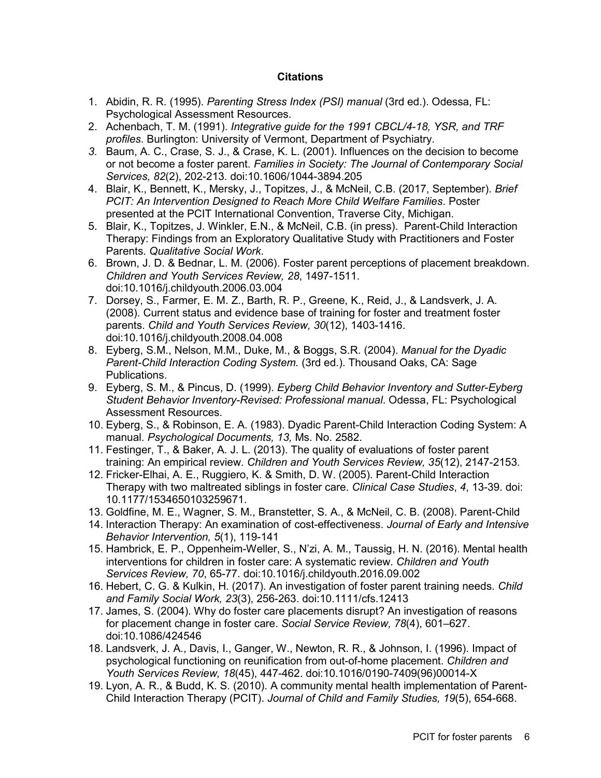### **Citations**

- 1. Abidin, R. R. (1995). *Parenting Stress Index (PSI) manual* (3rd ed.). Odessa, FL: Psychological Assessment Resources.
- 2. Achenbach, T. M. (1991). *Integrative guide for the 1991 CBCL/4-18, YSR, and TRF profiles*. Burlington: University of Vermont, Department of Psychiatry.
- *3.* Baum, A. C., Crase, S. J., & Crase, K. L. (2001). Influences on the decision to become or not become a foster parent. *Families in Society: The Journal of Contemporary Social Services, 82*(2), 202-213. doi:10.1606/1044-3894.205
- 4. Blair, K., Bennett, K., Mersky, J., Topitzes, J., & McNeil, C.B. (2017, September). *Brief PCIT: An Intervention Designed to Reach More Child Welfare Families*. Poster presented at the PCIT International Convention, Traverse City, Michigan.
- 5. Blair, K., Topitzes, J. Winkler, E.N., & McNeil, C.B. (in press). Parent-Child Interaction Therapy: Findings from an Exploratory Qualitative Study with Practitioners and Foster Parents. *Qualitative Social Work*.
- 6. Brown, J. D. & Bednar, L. M. (2006). Foster parent perceptions of placement breakdown. *Children and Youth Services Review, 28*, 1497-1511. doi:10.1016/j.childyouth.2006.03.004
- 7. Dorsey, S., Farmer, E. M. Z., Barth, R. P., Greene, K., Reid, J., & Landsverk, J. A. (2008). Current status and evidence base of training for foster and treatment foster parents. *Child and Youth Services Review, 30*(12), 1403-1416. doi[:10.1016/j.childyouth.2008.04.008](https://dx.doi.org/10.1016%2Fj.childyouth.2008.04.008)
- 8. Eyberg, S.M., Nelson, M.M., Duke, M., & Boggs, S.R. (2004). *Manual for the Dyadic Parent-Child Interaction Coding System.* (3rd ed.). Thousand Oaks, CA: Sage Publications.
- 9. Eyberg, S. M., & Pincus, D. (1999). *Eyberg Child Behavior Inventory and Sutter-Eyberg Student Behavior Inventory-Revised: Professional manual*. Odessa, FL: Psychological Assessment Resources.
- 10. Eyberg, S., & Robinson, E. A. (1983). Dyadic Parent-Child Interaction Coding System: A manual. *Psychological Documents, 13,* Ms. No. 2582.
- 11. Festinger, T., & Baker, A. J. L. (2013). The quality of evaluations of foster parent training: An empirical review. *Children and Youth Services Review, 35*(12), 2147-2153.
- 12. Fricker-Elhai, A. E., Ruggiero, K. & Smith, D. W. (2005). Parent-Child Interaction Therapy with two maltreated siblings in foster care. *Clinical Case Studies*, *4*, 13-39. doi: 10.1177/1534650103259671.
- 13. Goldfine, M. E., Wagner, S. M., Branstetter, S. A., & McNeil, C. B. (2008). Parent-Child
- 14. Interaction Therapy: An examination of cost-effectiveness. *Journal of Early and Intensive Behavior Intervention, 5*(1), 119-141
- 15. Hambrick, E. P., Oppenheim-Weller, S., N'zi, A. M., Taussig, H. N. (2016). Mental health interventions for children in foster care: A systematic review. *Children and Youth Services Review, 70*, 65-77. doi:10.1016/j.childyouth.2016.09.002
- 16. Hebert, C. G. & Kulkin, H. (2017). An investigation of foster parent training needs. *Child and Family Social Work, 23*(3), 256-263. doi:10.1111/cfs.12413
- 17. James, S. (2004). Why do foster care placements disrupt? An investigation of reasons for placement change in foster care. *Social Service Review, 78*(4), 601–627. doi:10.1086/424546
- 18. Landsverk, J. A., Davis, I., Ganger, W., Newton, R. R., & Johnson, I. (1996). Impact of psychological functioning on reunification from out-of-home placement. *Children and Youth Services Review, 18*(45), 447-462. doi:10.1016/0190-7409(96)00014-X
- 19. Lyon, A. R., & Budd, K. S. (2010). A community mental health implementation of Parent-Child Interaction Therapy (PCIT). *Journal of Child and Family Studies, 19*(5), 654-668.